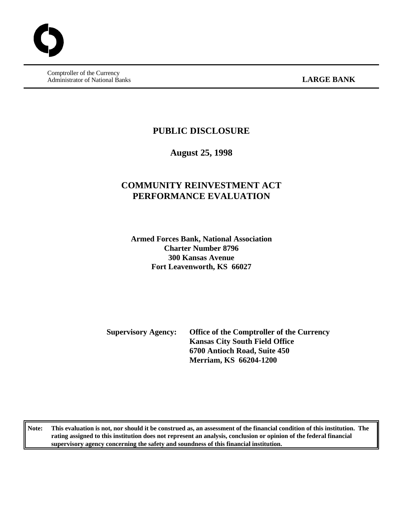Comptroller of the Currency Administrator of National Banks **LARGE BANK** 

### **PUBLIC DISCLOSURE**

**August 25, 1998**

## **COMMUNITY REINVESTMENT ACT PERFORMANCE EVALUATION**

**Armed Forces Bank, National Association Charter Number 8796 300 Kansas Avenue Fort Leavenworth, KS 66027**

**Supervisory Agency: Office of the Comptroller of the Currency Kansas City South Field Office 6700 Antioch Road, Suite 450 Merriam, KS 66204-1200**

**Note: This evaluation is not, nor should it be construed as, an assessment of the financial condition of this institution. The rating assigned to this institution does not represent an analysis, conclusion or opinion of the federal financial supervisory agency concerning the safety and soundness of this financial institution.**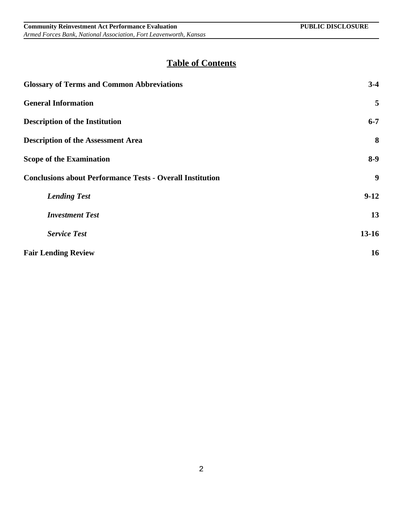# **Table of Contents**

| <b>Glossary of Terms and Common Abbreviations</b>                | $3-4$            |
|------------------------------------------------------------------|------------------|
| <b>General Information</b>                                       | 5                |
| <b>Description of the Institution</b>                            | $6 - 7$          |
| <b>Description of the Assessment Area</b>                        | 8                |
| <b>Scope of the Examination</b>                                  | $8-9$            |
| <b>Conclusions about Performance Tests - Overall Institution</b> | $\boldsymbol{9}$ |
| <b>Lending Test</b>                                              | $9-12$           |
| <b>Investment Test</b>                                           | 13               |
| <b>Service Test</b>                                              | $13 - 16$        |
| <b>Fair Lending Review</b>                                       | 16               |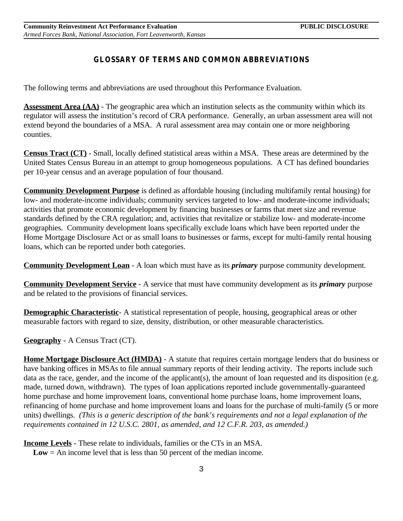### **GLOSSARY OF TERMS AND COMMON ABBREVIATIONS**

The following terms and abbreviations are used throughout this Performance Evaluation.

**Assessment Area (AA)** - The geographic area which an institution selects as the community within which its regulator will assess the institution's record of CRA performance. Generally, an urban assessment area will not extend beyond the boundaries of a MSA. A rural assessment area may contain one or more neighboring counties.

**Census Tract (CT)** - Small, locally defined statistical areas within a MSA. These areas are determined by the United States Census Bureau in an attempt to group homogeneous populations. A CT has defined boundaries per 10-year census and an average population of four thousand.

**Community Development Purpose** is defined as affordable housing (including multifamily rental housing) for low- and moderate-income individuals; community services targeted to low- and moderate-income individuals; activities that promote economic development by financing businesses or farms that meet size and revenue standards defined by the CRA regulation; and, activities that revitalize or stabilize low- and moderate-income geographies. Community development loans specifically exclude loans which have been reported under the Home Mortgage Disclosure Act or as small loans to businesses or farms, except for multi-family rental housing loans, which can be reported under both categories.

**Community Development Loan** - A loan which must have as its *primary* purpose community development.

**Community Development Service** - A service that must have community development as its *primary* purpose and be related to the provisions of financial services.

**Demographic Characteristic-** A statistical representation of people, housing, geographical areas or other measurable factors with regard to size, density, distribution, or other measurable characteristics.

**Geography -** A Census Tract (CT).

**Home Mortgage Disclosure Act (HMDA)** - A statute that requires certain mortgage lenders that do business or have banking offices in MSAs to file annual summary reports of their lending activity. The reports include such data as the race, gender, and the income of the applicant(s), the amount of loan requested and its disposition (e.g. made, turned down, withdrawn). The types of loan applications reported include governmentally-guaranteed home purchase and home improvement loans, conventional home purchase loans, home improvement loans, refinancing of home purchase and home improvement loans and loans for the purchase of multi-family (5 or more units) dwellings. *(This is a generic description of the bank's requirements and not a legal explanation of the requirements contained in 12 U.S.C. 2801, as amended, and 12 C.F.R. 203, as amended.)*

**Income Levels** - These relate to individuals, families or the CTs in an MSA.

**Low** = An income level that is less than 50 percent of the median income.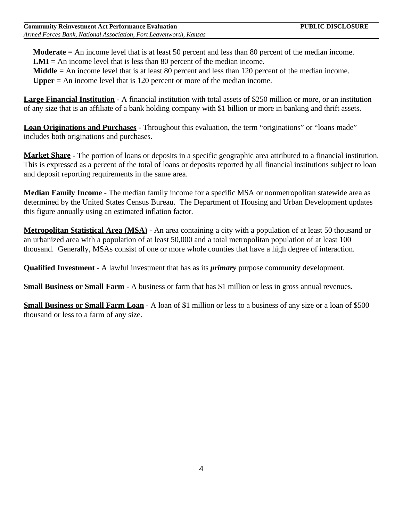**Moderate** = An income level that is at least 50 percent and less than 80 percent of the median income. **LMI** = An income level that is less than 80 percent of the median income.

**Middle** = An income level that is at least 80 percent and less than 120 percent of the median income.

**Upper** = An income level that is 120 percent or more of the median income.

**Large Financial Institution** - A financial institution with total assets of \$250 million or more, or an institution of any size that is an affiliate of a bank holding company with \$1 billion or more in banking and thrift assets.

**Loan Originations and Purchases** - Throughout this evaluation, the term "originations" or "loans made" includes both originations and purchases.

**Market Share** - The portion of loans or deposits in a specific geographic area attributed to a financial institution. This is expressed as a percent of the total of loans or deposits reported by all financial institutions subject to loan and deposit reporting requirements in the same area.

**Median Family Income** - The median family income for a specific MSA or nonmetropolitan statewide area as determined by the United States Census Bureau. The Department of Housing and Urban Development updates this figure annually using an estimated inflation factor.

**Metropolitan Statistical Area (MSA)** - An area containing a city with a population of at least 50 thousand or an urbanized area with a population of at least 50,000 and a total metropolitan population of at least 100 thousand. Generally, MSAs consist of one or more whole counties that have a high degree of interaction.

**Qualified Investment** - A lawful investment that has as its *primary* purpose community development.

**Small Business or Small Farm** - A business or farm that has \$1 million or less in gross annual revenues.

**Small Business or Small Farm Loan** - A loan of \$1 million or less to a business of any size or a loan of \$500 thousand or less to a farm of any size.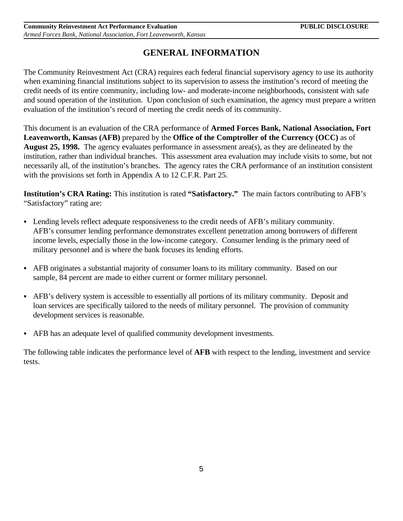## **GENERAL INFORMATION**

The Community Reinvestment Act (CRA) requires each federal financial supervisory agency to use its authority when examining financial institutions subject to its supervision to assess the institution's record of meeting the credit needs of its entire community, including low- and moderate-income neighborhoods, consistent with safe and sound operation of the institution. Upon conclusion of such examination, the agency must prepare a written evaluation of the institution's record of meeting the credit needs of its community.

This document is an evaluation of the CRA performance of **Armed Forces Bank, National Association, Fort Leavenworth, Kansas (AFB)** prepared by the **Office of the Comptroller of the Currency (OCC)** as of **August 25, 1998.** The agency evaluates performance in assessment area(s), as they are delineated by the institution, rather than individual branches. This assessment area evaluation may include visits to some, but not necessarily all, of the institution's branches. The agency rates the CRA performance of an institution consistent with the provisions set forth in Appendix A to 12 C.F.R. Part 25.

**Institution's CRA Rating:** This institution is rated **"Satisfactory."** The main factors contributing to AFB's "Satisfactory" rating are:

- Lending levels reflect adequate responsiveness to the credit needs of AFB's military community. AFB's consumer lending performance demonstrates excellent penetration among borrowers of different income levels, especially those in the low-income category. Consumer lending is the primary need of military personnel and is where the bank focuses its lending efforts.
- AFB originates a substantial majority of consumer loans to its military community. Based on our sample, 84 percent are made to either current or former military personnel.
- AFB's delivery system is accessible to essentially all portions of its military community. Deposit and loan services are specifically tailored to the needs of military personnel. The provision of community development services is reasonable.
- AFB has an adequate level of qualified community development investments.

The following table indicates the performance level of **AFB** with respect to the lending, investment and service tests.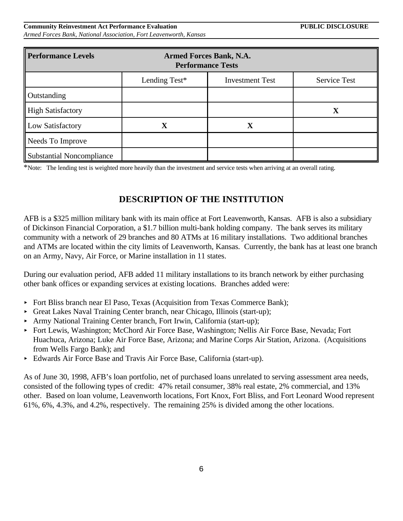6

#### **Community Reinvestment Act Performance Evaluation Active Active PUBLIC DISCLOSURE** *Armed Forces Bank, National Association, Fort Leavenworth, Kansas*

| <b>Performance Levels</b>        | <b>Armed Forces Bank, N.A.</b><br><b>Performance Tests</b> |             |   |  |  |  |  |
|----------------------------------|------------------------------------------------------------|-------------|---|--|--|--|--|
|                                  | Lending Test*<br>Service Test<br><b>Investment Test</b>    |             |   |  |  |  |  |
| Outstanding                      |                                                            |             |   |  |  |  |  |
| <b>High Satisfactory</b>         |                                                            |             | X |  |  |  |  |
| Low Satisfactory                 | $\mathbf X$                                                | $\mathbf X$ |   |  |  |  |  |
| Needs To Improve                 |                                                            |             |   |  |  |  |  |
| <b>Substantial Noncompliance</b> |                                                            |             |   |  |  |  |  |

\*Note: The lending test is weighted more heavily than the investment and service tests when arriving at an overall rating.

## **DESCRIPTION OF THE INSTITUTION**

AFB is a \$325 million military bank with its main office at Fort Leavenworth, Kansas. AFB is also a subsidiary of Dickinson Financial Corporation, a \$1.7 billion multi-bank holding company. The bank serves its military community with a network of 29 branches and 80 ATMs at 16 military installations. Two additional branches and ATMs are located within the city limits of Leavenworth, Kansas. Currently, the bank has at least one branch on an Army, Navy, Air Force, or Marine installation in 11 states.

During our evaluation period, AFB added 11 military installations to its branch network by either purchasing other bank offices or expanding services at existing locations. Branches added were:

- < Fort Bliss branch near El Paso, Texas (Acquisition from Texas Commerce Bank);
- ► Great Lakes Naval Training Center branch, near Chicago, Illinois (start-up);
- < Army National Training Center branch, Fort Irwin, California (start-up);
- < Fort Lewis, Washington; McChord Air Force Base, Washington; Nellis Air Force Base, Nevada; Fort Huachuca, Arizona; Luke Air Force Base, Arizona; and Marine Corps Air Station, Arizona. (Acquisitions from Wells Fargo Bank); and
- < Edwards Air Force Base and Travis Air Force Base, California (start-up).

As of June 30, 1998, AFB's loan portfolio, net of purchased loans unrelated to serving assessment area needs, consisted of the following types of credit: 47% retail consumer, 38% real estate, 2% commercial, and 13% other. Based on loan volume, Leavenworth locations, Fort Knox, Fort Bliss, and Fort Leonard Wood represent 61%, 6%, 4.3%, and 4.2%, respectively. The remaining 25% is divided among the other locations.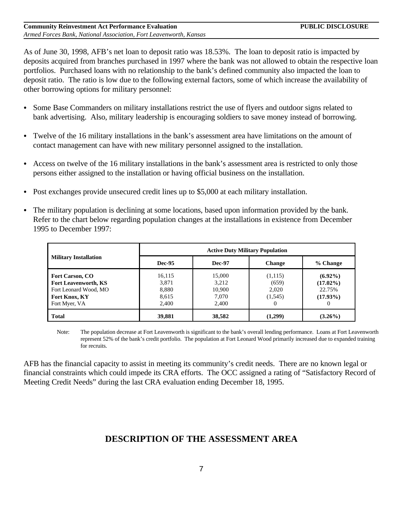As of June 30, 1998, AFB's net loan to deposit ratio was 18.53%. The loan to deposit ratio is impacted by deposits acquired from branches purchased in 1997 where the bank was not allowed to obtain the respective loan portfolios. Purchased loans with no relationship to the bank's defined community also impacted the loan to deposit ratio. The ratio is low due to the following external factors, some of which increase the availability of other borrowing options for military personnel:

- Some Base Commanders on military installations restrict the use of flyers and outdoor signs related to bank advertising. Also, military leadership is encouraging soldiers to save money instead of borrowing.
- Twelve of the 16 military installations in the bank's assessment area have limitations on the amount of contact management can have with new military personnel assigned to the installation.
- Access on twelve of the 16 military installations in the bank's assessment area is restricted to only those persons either assigned to the installation or having official business on the installation.
- Post exchanges provide unsecured credit lines up to \$5,000 at each military installation.
- The military population is declining at some locations, based upon information provided by the bank. Refer to the chart below regarding population changes at the installations in existence from December 1995 to December 1997:

|                              | <b>Active Duty Military Population</b> |               |               |             |  |  |
|------------------------------|----------------------------------------|---------------|---------------|-------------|--|--|
| <b>Military Installation</b> | <b>Dec-95</b>                          | <b>Dec-97</b> | <b>Change</b> | % Change    |  |  |
| <b>Fort Carson, CO</b>       | 16.115                                 | 15,000        | (1,115)       | $(6.92\%)$  |  |  |
| <b>Fort Leavenworth, KS</b>  | 3,871                                  | 3,212         | (659)         | $(17.02\%)$ |  |  |
| Fort Leonard Wood, MO        | 8,880                                  | 10,900        | 2,020         | 22.75%      |  |  |
| Fort Knox, KY                | 8.615                                  | 7,070         | (1,545)       | $(17.93\%)$ |  |  |
| Fort Myer, VA                | 2.400                                  | 2.400         | $\theta$      | $\theta$    |  |  |
| <b>Total</b>                 | 39,881                                 | 38,582        | (1,299)       | $(3.26\%)$  |  |  |

Note: The population decrease at Fort Leavenworth is significant to the bank's overall lending performance. Loans at Fort Leavenworth represent 52% of the bank's credit portfolio. The population at Fort Leonard Wood primarily increased due to expanded training for recruits.

AFB has the financial capacity to assist in meeting its community's credit needs. There are no known legal or financial constraints which could impede its CRA efforts. The OCC assigned a rating of "Satisfactory Record of Meeting Credit Needs" during the last CRA evaluation ending December 18, 1995.

## **DESCRIPTION OF THE ASSESSMENT AREA**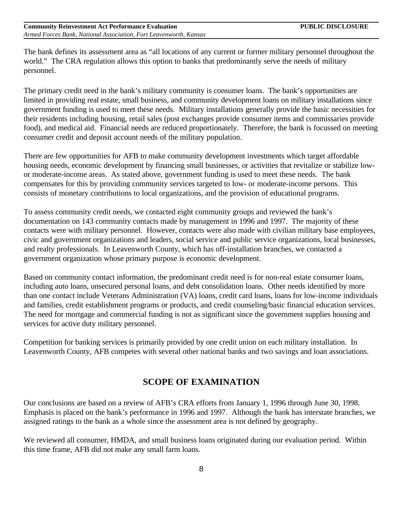The bank defines its assessment area as "all locations of any current or former military personnel throughout the world." The CRA regulation allows this option to banks that predominantly serve the needs of military personnel.

The primary credit need in the bank's military community is consumer loans. The bank's opportunities are limited in providing real estate, small business, and community development loans on military installations since government funding is used to meet these needs. Military installations generally provide the basic necessities for their residents including housing, retail sales (post exchanges provide consumer items and commissaries provide food), and medical aid. Financial needs are reduced proportionately. Therefore, the bank is focussed on meeting consumer credit and deposit account needs of the military population.

There are few opportunities for AFB to make community development investments which target affordable housing needs, economic development by financing small businesses, or activities that revitalize or stabilize lowor moderate-income areas. As stated above, government funding is used to meet these needs. The bank compensates for this by providing community services targeted to low- or moderate-income persons. This consists of monetary contributions to local organizations, and the provision of educational programs.

To assess community credit needs, we contacted eight community groups and reviewed the bank's documentation on 143 community contacts made by management in 1996 and 1997. The majority of these contacts were with military personnel. However, contacts were also made with civilian military base employees, civic and government organizations and leaders, social service and public service organizations, local businesses, and realty professionals. In Leavenworth County, which has off-installation branches, we contacted a government organization whose primary purpose is economic development.

Based on community contact information, the predominant credit need is for non-real estate consumer loans, including auto loans, unsecured personal loans, and debt consolidation loans. Other needs identified by more than one contact include Veterans Administration (VA) loans, credit card loans, loans for low-income individuals and families, credit establishment programs or products, and credit counseling/basic financial education services. The need for mortgage and commercial funding is not as significant since the government supplies housing and services for active duty military personnel.

Competition for banking services is primarily provided by one credit union on each military installation. In Leavenworth County, AFB competes with several other national banks and two savings and loan associations.

### **SCOPE OF EXAMINATION**

Our conclusions are based on a review of AFB's CRA efforts from January 1, 1996 through June 30, 1998. Emphasis is placed on the bank's performance in 1996 and 1997. Although the bank has interstate branches, we assigned ratings to the bank as a whole since the assessment area is not defined by geography.

We reviewed all consumer, HMDA, and small business loans originated during our evaluation period. Within this time frame, AFB did not make any small farm loans.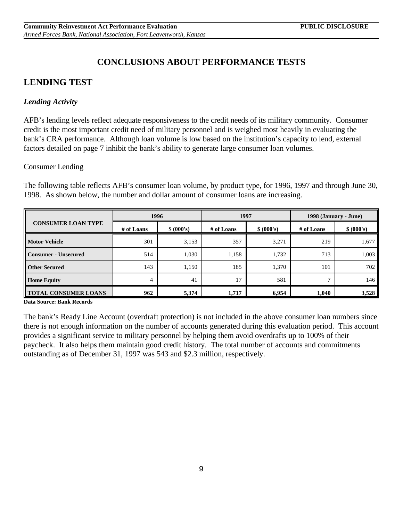## **CONCLUSIONS ABOUT PERFORMANCE TESTS**

## **LENDING TEST**

### *Lending Activity*

AFB's lending levels reflect adequate responsiveness to the credit needs of its military community. Consumer credit is the most important credit need of military personnel and is weighed most heavily in evaluating the bank's CRA performance. Although loan volume is low based on the institution's capacity to lend, external factors detailed on page 7 inhibit the bank's ability to generate large consumer loan volumes.

### Consumer Lending

The following table reflects AFB's consumer loan volume, by product type, for 1996, 1997 and through June 30, 1998. As shown below, the number and dollar amount of consumer loans are increasing.

| <b>CONSUMER LOAN TYPE</b>   | 1996       |            | 1997       |            | 1998 (January - June) |            |
|-----------------------------|------------|------------|------------|------------|-----------------------|------------|
|                             | # of Loans | \$ (000's) | # of Loans | \$ (000's) | # of Loans            | \$ (000's) |
| <b>Motor Vehicle</b>        | 301        | 3,153      | 357        | 3,271      | 219                   | 1,677      |
| <b>Consumer - Unsecured</b> | 514        | 1,030      | 1,158      | 1,732      | 713                   | 1,003      |
| <b>Other Secured</b>        | 143        | 1,150      | 185        | 1,370      | 101                   | 702        |
| <b>Home Equity</b>          | 4          | 41         | 17         | 581        | Ξ                     | 146        |
| <b>TOTAL CONSUMER LOANS</b> | 962        | 5,374      | 1,717      | 6,954      | 1,040                 | 3,528      |

**Data Source: Bank Records**

The bank's Ready Line Account (overdraft protection) is not included in the above consumer loan numbers since there is not enough information on the number of accounts generated during this evaluation period. This account provides a significant service to military personnel by helping them avoid overdrafts up to 100% of their paycheck. It also helps them maintain good credit history. The total number of accounts and commitments outstanding as of December 31, 1997 was 543 and \$2.3 million, respectively.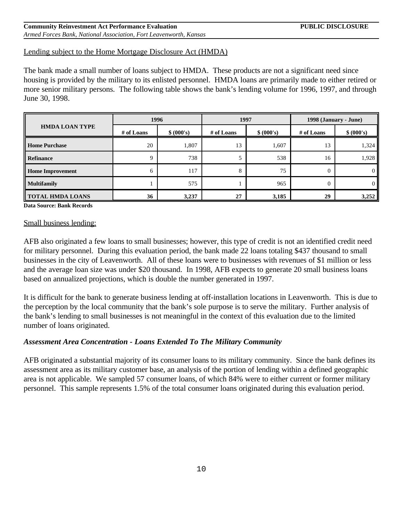#### **Community Reinvestment Act Performance Evaluation Community Research PUBLIC DISCLOSURE** *Armed Forces Bank, National Association, Fort Leavenworth, Kansas*

#### Lending subject to the Home Mortgage Disclosure Act (HMDA)

The bank made a small number of loans subject to HMDA. These products are not a significant need since housing is provided by the military to its enlisted personnel. HMDA loans are primarily made to either retired or more senior military persons. The following table shows the bank's lending volume for 1996, 1997, and through June 30, 1998.

| <b>HMDA LOAN TYPE</b>   | 1996       |            | 1997       |            | 1998 (January - June) |            |
|-------------------------|------------|------------|------------|------------|-----------------------|------------|
|                         | # of Loans | \$ (000's) | # of Loans | \$ (000's) | # of Loans            | \$ (000's) |
| <b>Home Purchase</b>    | 20         | 1,807      | 13         | 1,607      | 13                    | 1,324      |
| Refinance               |            | 738        |            | 538        | 16                    | 1,928      |
| <b>Home Improvement</b> | 6          | 117        | 8          | 75         | $\overline{0}$        | - 0        |
| <b>Multifamily</b>      |            | 575        |            | 965        | 0                     |            |
| <b>TOTAL HMDA LOANS</b> | 36         | 3,237      | 27         | 3,185      | 29                    | 3,252      |

**Data Source: Bank Records**

#### Small business lending:

AFB also originated a few loans to small businesses; however, this type of credit is not an identified credit need for military personnel. During this evaluation period, the bank made 22 loans totaling \$437 thousand to small businesses in the city of Leavenworth. All of these loans were to businesses with revenues of \$1 million or less and the average loan size was under \$20 thousand. In 1998, AFB expects to generate 20 small business loans based on annualized projections, which is double the number generated in 1997.

It is difficult for the bank to generate business lending at off-installation locations in Leavenworth. This is due to the perception by the local community that the bank's sole purpose is to serve the military. Further analysis of the bank's lending to small businesses is not meaningful in the context of this evaluation due to the limited number of loans originated.

#### *Assessment Area Concentration - Loans Extended To The Military Community*

AFB originated a substantial majority of its consumer loans to its military community. Since the bank defines its assessment area as its military customer base, an analysis of the portion of lending within a defined geographic area is not applicable. We sampled 57 consumer loans, of which 84% were to either current or former military personnel. This sample represents 1.5% of the total consumer loans originated during this evaluation period.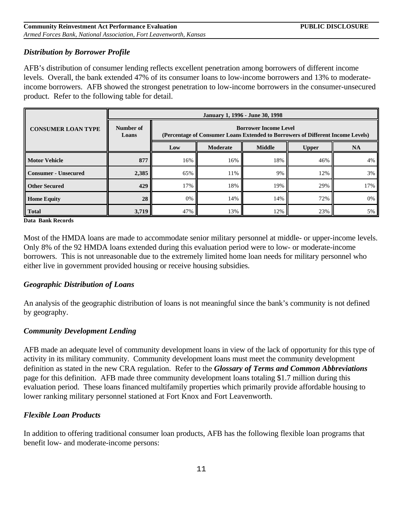### *Distribution by Borrower Profile*

AFB's distribution of consumer lending reflects excellent penetration among borrowers of different income levels. Overall, the bank extended 47% of its consumer loans to low-income borrowers and 13% to moderateincome borrowers. AFB showed the strongest penetration to low-income borrowers in the consumer-unsecured product. Refer to the following table for detail.

|                             | January 1, 1996 - June 30, 1998                  |                                                                                                                 |     |     |     |     |  |  |
|-----------------------------|--------------------------------------------------|-----------------------------------------------------------------------------------------------------------------|-----|-----|-----|-----|--|--|
| <b>CONSUMER LOAN TYPE</b>   | Number of<br>Loans                               | <b>Borrower Income Level</b><br>(Percentage of Consumer Loans Extended to Borrowers of Different Income Levels) |     |     |     |     |  |  |
|                             | <b>Middle</b><br>Moderate<br><b>Upper</b><br>Low |                                                                                                                 |     |     |     |     |  |  |
| <b>Motor Vehicle</b>        | 877                                              | 16%                                                                                                             | 16% | 18% | 46% | 4%  |  |  |
| <b>Consumer - Unsecured</b> | 2,385                                            | 65%                                                                                                             | 11% | 9%  | 12% | 3%  |  |  |
| <b>Other Secured</b>        | 429                                              | 17%                                                                                                             | 18% | 19% | 29% | 17% |  |  |
| <b>Home Equity</b>          | 28                                               | 0%                                                                                                              | 14% | 14% | 72% | 0%  |  |  |
| <b>Total</b>                | 3,719                                            | 47%                                                                                                             | 13% | 12% | 23% | 5%  |  |  |

**Data Bank Records**

Most of the HMDA loans are made to accommodate senior military personnel at middle- or upper-income levels. Only 8% of the 92 HMDA loans extended during this evaluation period were to low- or moderate-income borrowers. This is not unreasonable due to the extremely limited home loan needs for military personnel who either live in government provided housing or receive housing subsidies.

### *Geographic Distribution of Loans*

An analysis of the geographic distribution of loans is not meaningful since the bank's community is not defined by geography.

### *Community Development Lending*

AFB made an adequate level of community development loans in view of the lack of opportunity for this type of activity in its military community. Community development loans must meet the community development definition as stated in the new CRA regulation. Refer to the *Glossary of Terms and Common Abbreviations* page for this definition. AFB made three community development loans totaling \$1.7 million during this evaluation period. These loans financed multifamily properties which primarily provide affordable housing to lower ranking military personnel stationed at Fort Knox and Fort Leavenworth.

### *Flexible Loan Products*

In addition to offering traditional consumer loan products, AFB has the following flexible loan programs that benefit low- and moderate-income persons: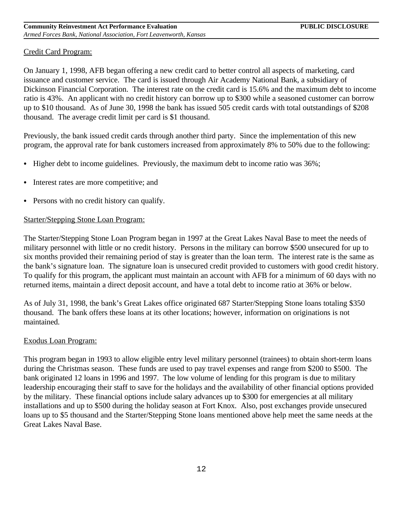#### Credit Card Program:

On January 1, 1998, AFB began offering a new credit card to better control all aspects of marketing, card issuance and customer service. The card is issued through Air Academy National Bank, a subsidiary of Dickinson Financial Corporation. The interest rate on the credit card is 15.6% and the maximum debt to income ratio is 43%. An applicant with no credit history can borrow up to \$300 while a seasoned customer can borrow up to \$10 thousand. As of June 30, 1998 the bank has issued 505 credit cards with total outstandings of \$208 thousand. The average credit limit per card is \$1 thousand.

Previously, the bank issued credit cards through another third party. Since the implementation of this new program, the approval rate for bank customers increased from approximately 8% to 50% due to the following:

- $\bullet$  Higher debt to income guidelines. Previously, the maximum debt to income ratio was  $36\%$ ;
- Interest rates are more competitive; and
- Persons with no credit history can qualify.

#### Starter/Stepping Stone Loan Program:

The Starter/Stepping Stone Loan Program began in 1997 at the Great Lakes Naval Base to meet the needs of military personnel with little or no credit history. Persons in the military can borrow \$500 unsecured for up to six months provided their remaining period of stay is greater than the loan term. The interest rate is the same as the bank's signature loan. The signature loan is unsecured credit provided to customers with good credit history. To qualify for this program, the applicant must maintain an account with AFB for a minimum of 60 days with no returned items, maintain a direct deposit account, and have a total debt to income ratio at 36% or below.

As of July 31, 1998, the bank's Great Lakes office originated 687 Starter/Stepping Stone loans totaling \$350 thousand. The bank offers these loans at its other locations; however, information on originations is not maintained.

#### Exodus Loan Program:

This program began in 1993 to allow eligible entry level military personnel (trainees) to obtain short-term loans during the Christmas season. These funds are used to pay travel expenses and range from \$200 to \$500. The bank originated 12 loans in 1996 and 1997. The low volume of lending for this program is due to military leadership encouraging their staff to save for the holidays and the availability of other financial options provided by the military. These financial options include salary advances up to \$300 for emergencies at all military installations and up to \$500 during the holiday season at Fort Knox. Also, post exchanges provide unsecured loans up to \$5 thousand and the Starter/Stepping Stone loans mentioned above help meet the same needs at the Great Lakes Naval Base.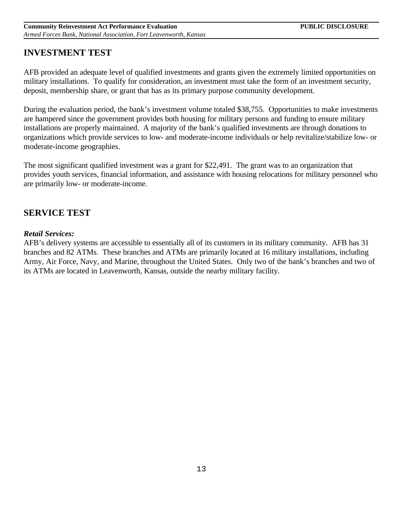### **INVESTMENT TEST**

AFB provided an adequate level of qualified investments and grants given the extremely limited opportunities on military installations. To qualify for consideration, an investment must take the form of an investment security, deposit, membership share, or grant that has as its primary purpose community development.

During the evaluation period, the bank's investment volume totaled \$38,755. Opportunities to make investments are hampered since the government provides both housing for military persons and funding to ensure military installations are properly maintained. A majority of the bank's qualified investments are through donations to organizations which provide services to low- and moderate-income individuals or help revitalize/stabilize low- or moderate-income geographies.

The most significant qualified investment was a grant for \$22,491. The grant was to an organization that provides youth services, financial information, and assistance with housing relocations for military personnel who are primarily low- or moderate-income.

### **SERVICE TEST**

### *Retail Services:*

AFB's delivery systems are accessible to essentially all of its customers in its military community. AFB has 31 branches and 82 ATMs. These branches and ATMs are primarily located at 16 military installations, including Army, Air Force, Navy, and Marine, throughout the United States. Only two of the bank's branches and two of its ATMs are located in Leavenworth, Kansas, outside the nearby military facility.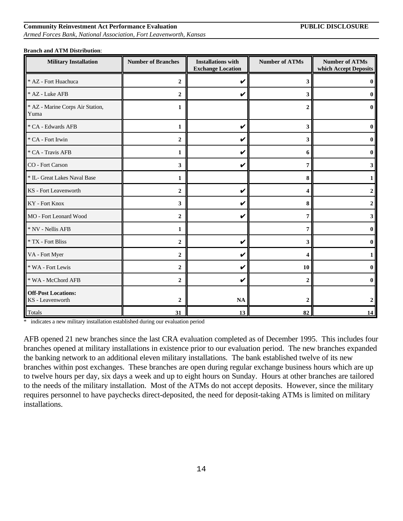# 14

# **Community Reinvestment Act Performance Evaluation PUBLIC DISCLOSURE**

*Armed Forces Bank, National Association, Fort Leavenworth, Kansas*

| <b>Military Installation</b>                   | <b>Number of Branches</b> | <b>Installations with</b><br><b>Exchange Location</b> | <b>Number of ATMs</b> | <b>Number of ATMs</b><br>which Accept Deposits |
|------------------------------------------------|---------------------------|-------------------------------------------------------|-----------------------|------------------------------------------------|
| * AZ - Fort Huachuca                           | $\boldsymbol{2}$          | V                                                     | 3                     |                                                |
| * AZ - Luke AFB                                | $\overline{2}$            | V                                                     | 3                     |                                                |
| * AZ - Marine Corps Air Station,<br>Yuma       | 1                         |                                                       | 2                     |                                                |
| * CA - Edwards AFB                             | 1                         | V                                                     | 3                     |                                                |
| * CA - Fort Irwin                              | $\boldsymbol{2}$          | V                                                     | 3                     |                                                |
| * CA - Travis AFB                              | $\mathbf{1}$              | V                                                     | 6                     |                                                |
| CO - Fort Carson                               | 3                         | V                                                     | 7                     |                                                |
| * IL- Great Lakes Naval Base                   | 1                         |                                                       | 8                     |                                                |
| KS - Fort Leavenworth                          | $\overline{2}$            | V                                                     | 4                     |                                                |
| KY - Fort Knox                                 | 3                         | V                                                     | 8                     |                                                |
| MO - Fort Leonard Wood                         | $\boldsymbol{2}$          | V                                                     | 7                     |                                                |
| * NV - Nellis AFB                              | 1                         |                                                       | 7                     |                                                |
| * TX - Fort Bliss                              | $\boldsymbol{2}$          | V                                                     | 3                     |                                                |
| VA - Fort Myer                                 | $\overline{2}$            | V                                                     | Δ                     |                                                |
| * WA - Fort Lewis                              | $\boldsymbol{2}$          | V                                                     | 10                    |                                                |
| * WA - McChord AFB                             | $\boldsymbol{2}$          | V                                                     | $\boldsymbol{2}$      |                                                |
| <b>Off-Post Locations:</b><br>KS - Leavenworth | $\overline{2}$            | <b>NA</b>                                             |                       |                                                |
| <b>Totals</b>                                  | 31                        | 13                                                    | 82                    | 14                                             |

#### **Branch and ATM Distribution**:

\* indicates a new military installation established during our evaluation period

AFB opened 21 new branches since the last CRA evaluation completed as of December 1995. This includes four branches opened at military installations in existence prior to our evaluation period. The new branches expanded the banking network to an additional eleven military installations. The bank established twelve of its new branches within post exchanges. These branches are open during regular exchange business hours which are up to twelve hours per day, six days a week and up to eight hours on Sunday. Hours at other branches are tailored to the needs of the military installation. Most of the ATMs do not accept deposits. However, since the military requires personnel to have paychecks direct-deposited, the need for deposit-taking ATMs is limited on military installations.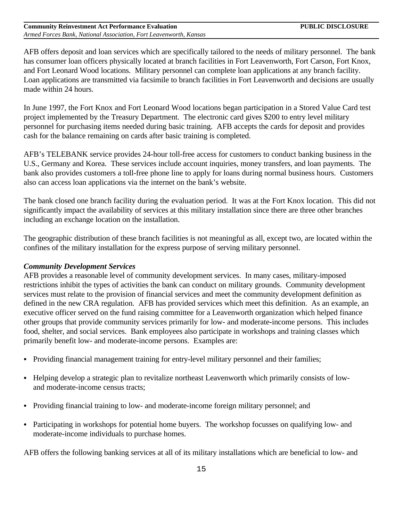AFB offers deposit and loan services which are specifically tailored to the needs of military personnel. The bank has consumer loan officers physically located at branch facilities in Fort Leavenworth, Fort Carson, Fort Knox, and Fort Leonard Wood locations. Military personnel can complete loan applications at any branch facility. Loan applications are transmitted via facsimile to branch facilities in Fort Leavenworth and decisions are usually made within 24 hours.

In June 1997, the Fort Knox and Fort Leonard Wood locations began participation in a Stored Value Card test project implemented by the Treasury Department. The electronic card gives \$200 to entry level military personnel for purchasing items needed during basic training. AFB accepts the cards for deposit and provides cash for the balance remaining on cards after basic training is completed.

AFB's TELEBANK service provides 24-hour toll-free access for customers to conduct banking business in the U.S., Germany and Korea. These services include account inquiries, money transfers, and loan payments. The bank also provides customers a toll-free phone line to apply for loans during normal business hours. Customers also can access loan applications via the internet on the bank's website.

The bank closed one branch facility during the evaluation period. It was at the Fort Knox location. This did not significantly impact the availability of services at this military installation since there are three other branches including an exchange location on the installation.

The geographic distribution of these branch facilities is not meaningful as all, except two, are located within the confines of the military installation for the express purpose of serving military personnel.

#### *Community Development Services*

AFB provides a reasonable level of community development services. In many cases, military-imposed restrictions inhibit the types of activities the bank can conduct on military grounds. Community development services must relate to the provision of financial services and meet the community development definition as defined in the new CRA regulation. AFB has provided services which meet this definition. As an example, an executive officer served on the fund raising committee for a Leavenworth organization which helped finance other groups that provide community services primarily for low- and moderate-income persons. This includes food, shelter, and social services. Bank employees also participate in workshops and training classes which primarily benefit low- and moderate-income persons. Examples are:

- Providing financial management training for entry-level military personnel and their families;
- Helping develop a strategic plan to revitalize northeast Leavenworth which primarily consists of lowand moderate-income census tracts;
- Providing financial training to low- and moderate-income foreign military personnel; and
- Participating in workshops for potential home buyers. The workshop focusses on qualifying low- and moderate-income individuals to purchase homes.

AFB offers the following banking services at all of its military installations which are beneficial to low- and